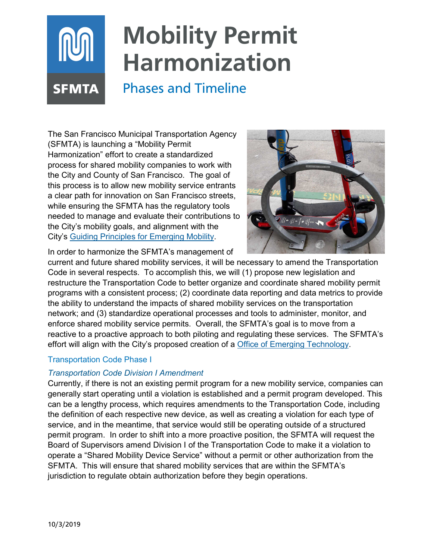# **Mobility Permit Harmonization**

# Phases and Timeline

The San Francisco Municipal Transportation Agency (SFMTA) is launching a "Mobility Permit Harmonization" effort to create a standardized process for shared mobility companies to work with the City and County of San Francisco. The goal of this process is to allow new mobility service entrants a clear path for innovation on San Francisco streets, while ensuring the SFMTA has the regulatory tools needed to manage and evaluate their contributions to the City's mobility goals, and alignment with the City's [Guiding Principles for Emerging Mobility.](https://www.sfmta.com/reports/guiding-principles-emerging-mobility-services-and-technology)



In order to harmonize the SFMTA's management of

current and future shared mobility services, it will be necessary to amend the Transportation Code in several respects. To accomplish this, we will (1) propose new legislation and restructure the Transportation Code to better organize and coordinate shared mobility permit programs with a consistent process; (2) coordinate data reporting and data metrics to provide the ability to understand the impacts of shared mobility services on the transportation network; and (3) standardize operational processes and tools to administer, monitor, and enforce shared mobility service permits. Overall, the SFMTA's goal is to move from a reactive to a proactive approach to both piloting and regulating these services. The SFMTA's effort will align with the City's proposed creation of a **Office of Emerging Technology**.

# Transportation Code Phase I

**SFMTA** 

## *Transportation Code Division I Amendment*

Currently, if there is not an existing permit program for a new mobility service, companies can generally start operating until a violation is established and a permit program developed. This can be a lengthy process, which requires amendments to the Transportation Code, including the definition of each respective new device, as well as creating a violation for each type of service, and in the meantime, that service would still be operating outside of a structured permit program. In order to shift into a more proactive position, the SFMTA will request the Board of Supervisors amend Division I of the Transportation Code to make it a violation to operate a "Shared Mobility Device Service" without a permit or other authorization from the SFMTA. This will ensure that shared mobility services that are within the SFMTA's jurisdiction to regulate obtain authorization before they begin operations.